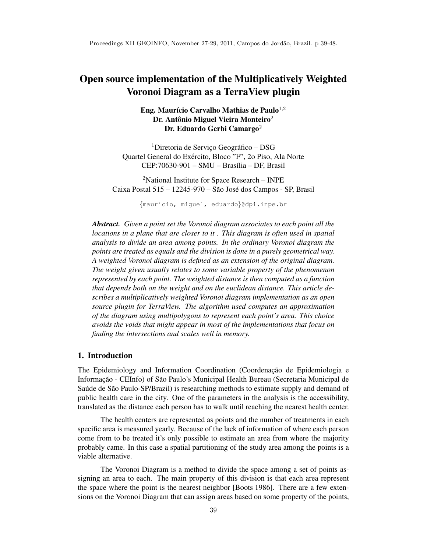# Open source implementation of the Multiplicatively Weighted Voronoi Diagram as a TerraView plugin

# Eng. Maurício Carvalho Mathias de Paulo $1,2$ Dr. Antônio Miguel Vieira Monteiro $^2$ Dr. Eduardo Gerbi Camargo<sup>2</sup>

 $1$ Diretoria de Serviço Geográfico – DSG Quartel General do Exército, Bloco "F", 20 Piso, Ala Norte CEP:70630-901 – SMU – Brasília – DF, Brasil

<sup>2</sup>National Institute for Space Research – INPE Caixa Postal  $515 - 12245 - 970 - S$ ão José dos Campos - SP, Brasil

{mauricio, miguel, eduardo}@dpi.inpe.br

*Abstract. Given a point set the Voronoi diagram associates to each point all the locations in a plane that are closer to it . This diagram is often used in spatial analysis to divide an area among points. In the ordinary Voronoi diagram the points are treated as equals and the division is done in a purely geometrical way. A weighted Voronoi diagram is defined as an extension of the original diagram. The weight given usually relates to some variable property of the phenomenon represented by each point. The weighted distance is then computed as a function that depends both on the weight and on the euclidean distance. This article describes a multiplicatively weighted Voronoi diagram implementation as an open source plugin for TerraView. The algorithm used computes an approximation of the diagram using multipolygons to represent each point's area. This choice avoids the voids that might appear in most of the implementations that focus on finding the intersections and scales well in memory.*

#### 1. Introduction

The Epidemiology and Information Coordination (Coordenação de Epidemiologia e Informação - CEInfo) of São Paulo's Municipal Health Bureau (Secretaria Municipal de Saúde de São Paulo-SP/Brazil) is researching methods to estimate supply and demand of public health care in the city. One of the parameters in the analysis is the accessibility, translated as the distance each person has to walk until reaching the nearest health center.

The health centers are represented as points and the number of treatments in each specific area is measured yearly. Because of the lack of information of where each person come from to be treated it's only possible to estimate an area from where the majority probably came. In this case a spatial partitioning of the study area among the points is a viable alternative.

The Voronoi Diagram is a method to divide the space among a set of points assigning an area to each. The main property of this division is that each area represent the space where the point is the nearest neighbor [Boots 1986]. There are a few extensions on the Voronoi Diagram that can assign areas based on some property of the points,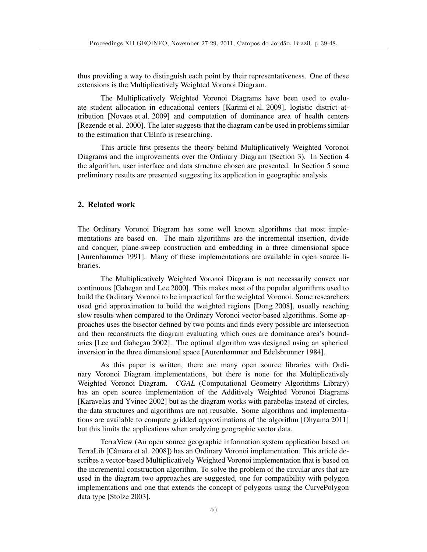thus providing a way to distinguish each point by their representativeness. One of these extensions is the Multiplicatively Weighted Voronoi Diagram.

The Multiplicatively Weighted Voronoi Diagrams have been used to evaluate student allocation in educational centers [Karimi et al. 2009], logistic district attribution [Novaes et al. 2009] and computation of dominance area of health centers [Rezende et al. 2000]. The later suggests that the diagram can be used in problems similar to the estimation that CEInfo is researching.

This article first presents the theory behind Multiplicatively Weighted Voronoi Diagrams and the improvements over the Ordinary Diagram (Section 3). In Section 4 the algorithm, user interface and data structure chosen are presented. In Section 5 some preliminary results are presented suggesting its application in geographic analysis.

## 2. Related work

The Ordinary Voronoi Diagram has some well known algorithms that most implementations are based on. The main algorithms are the incremental insertion, divide and conquer, plane-sweep construction and embedding in a three dimensional space [Aurenhammer 1991]. Many of these implementations are available in open source libraries.

The Multiplicatively Weighted Voronoi Diagram is not necessarily convex nor continuous [Gahegan and Lee 2000]. This makes most of the popular algorithms used to build the Ordinary Voronoi to be impractical for the weighted Voronoi. Some researchers used grid approximation to build the weighted regions [Dong 2008], usually reaching slow results when compared to the Ordinary Voronoi vector-based algorithms. Some approaches uses the bisector defined by two points and finds every possible arc intersection and then reconstructs the diagram evaluating which ones are dominance area's boundaries [Lee and Gahegan 2002]. The optimal algorithm was designed using an spherical inversion in the three dimensional space [Aurenhammer and Edelsbrunner 1984].

As this paper is written, there are many open source libraries with Ordinary Voronoi Diagram implementations, but there is none for the Multiplicatively Weighted Voronoi Diagram. *CGAL* (Computational Geometry Algorithms Library) has an open source implementation of the Additively Weighted Voronoi Diagrams [Karavelas and Yvinec 2002] but as the diagram works with parabolas instead of circles, the data structures and algorithms are not reusable. Some algorithms and implementations are available to compute gridded approximations of the algorithm [Ohyama 2011] but this limits the applications when analyzing geographic vector data.

TerraView (An open source geographic information system application based on TerraLib [Camara et al. 2008]) has an Ordinary Voronoi implementation. This article de- ˆ scribes a vector-based Multiplicatively Weighted Voronoi implementation that is based on the incremental construction algorithm. To solve the problem of the circular arcs that are used in the diagram two approaches are suggested, one for compatibility with polygon implementations and one that extends the concept of polygons using the CurvePolygon data type [Stolze 2003].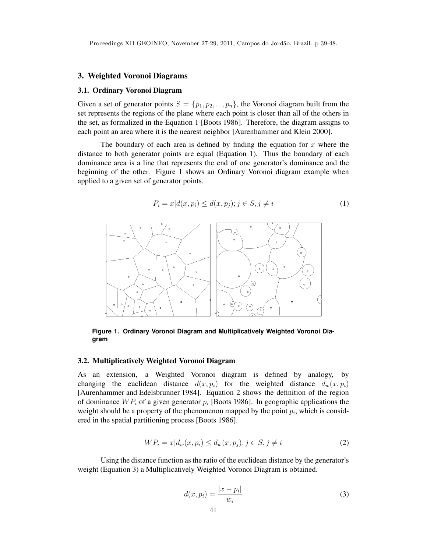#### 3. Weighted Voronoi Diagrams

#### 3.1. Ordinary Voronoi Diagram

Given a set of generator points  $S = \{p_1, p_2, ..., p_n\}$ , the Voronoi diagram built from the set represents the regions of the plane where each point is closer than all of the others in the set, as formalized in the Equation 1 [Boots 1986]. Therefore, the diagram assigns to each point an area where it is the nearest neighbor [Aurenhammer and Klein 2000].

The boundary of each area is defined by finding the equation for  $x$  where the distance to both generator points are equal (Equation 1). Thus the boundary of each dominance area is a line that represents the end of one generator's dominance and the beginning of the other. Figure 1 shows an Ordinary Voronoi diagram example when applied to a given set of generator points.

$$
P_i = x | d(x, p_i) \le d(x, p_j); j \in S, j \ne i
$$
\n<sup>(1)</sup>



**Figure 1. Ordinary Voronoi Diagram and Multiplicatively Weighted Voronoi Diagram**

## 3.2. Multiplicatively Weighted Voronoi Diagram

As an extension, a Weighted Voronoi diagram is defined by analogy, by changing the euclidean distance  $d(x, p_i)$  for the weighted distance  $d_w(x, p_i)$ [Aurenhammer and Edelsbrunner 1984]. Equation 2 shows the definition of the region of dominance  $WP_i$  of a given generator  $p_i$  [Boots 1986]. In geographic applications the weight should be a property of the phenomenon mapped by the point  $p_i$ , which is considered in the spatial partitioning process [Boots 1986].

$$
WP_i = x | d_w(x, p_i) \le d_w(x, p_j); j \in S, j \ne i
$$
\n(2)

Using the distance function as the ratio of the euclidean distance by the generator's weight (Equation 3) a Multiplicatively Weighted Voronoi Diagram is obtained.

$$
d(x, p_i) = \frac{|x - p_i|}{w_i} \tag{3}
$$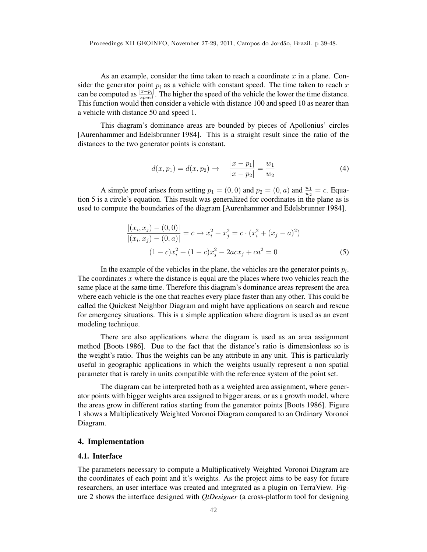As an example, consider the time taken to reach a coordinate  $x$  in a plane. Consider the generator point  $p_i$  as a vehicle with constant speed. The time taken to reach x can be computed as  $\frac{|x-p_i|}{speed}$ . The higher the speed of the vehicle the lower the time distance. This function would then consider a vehicle with distance 100 and speed 10 as nearer than a vehicle with distance 50 and speed 1.

This diagram's dominance areas are bounded by pieces of Apollonius' circles [Aurenhammer and Edelsbrunner 1984]. This is a straight result since the ratio of the distances to the two generator points is constant.

$$
d(x, p_1) = d(x, p_2) \to \frac{|x - p_1|}{|x - p_2|} = \frac{w_1}{w_2} \tag{4}
$$

A simple proof arises from setting  $p_1 = (0,0)$  and  $p_2 = (0, a)$  and  $\frac{w_1}{w_2} = c$ . Equation 5 is a circle's equation. This result was generalized for coordinates in the plane as is used to compute the boundaries of the diagram [Aurenhammer and Edelsbrunner 1984].

$$
\frac{|(x_i, x_j) - (0, 0)|}{|(x_i, x_j) - (0, a)|} = c \to x_i^2 + x_j^2 = c \cdot (x_i^2 + (x_j - a)^2)
$$

$$
(1 - c)x_i^2 + (1 - c)x_j^2 - 2acx_j + ca^2 = 0
$$
(5)

In the example of the vehicles in the plane, the vehicles are the generator points  $p_i$ . The coordinates  $x$  where the distance is equal are the places where two vehicles reach the same place at the same time. Therefore this diagram's dominance areas represent the area where each vehicle is the one that reaches every place faster than any other. This could be called the Quickest Neighbor Diagram and might have applications on search and rescue for emergency situations. This is a simple application where diagram is used as an event modeling technique.

There are also applications where the diagram is used as an area assignment method [Boots 1986]. Due to the fact that the distance's ratio is dimensionless so is the weight's ratio. Thus the weights can be any attribute in any unit. This is particularly useful in geographic applications in which the weights usually represent a non spatial parameter that is rarely in units compatible with the reference system of the point set.

The diagram can be interpreted both as a weighted area assignment, where generator points with bigger weights area assigned to bigger areas, or as a growth model, where the areas grow in different ratios starting from the generator points [Boots 1986]. Figure 1 shows a Multiplicatively Weighted Voronoi Diagram compared to an Ordinary Voronoi Diagram.

#### 4. Implementation

#### 4.1. Interface

The parameters necessary to compute a Multiplicatively Weighted Voronoi Diagram are the coordinates of each point and it's weights. As the project aims to be easy for future researchers, an user interface was created and integrated as a plugin on TerraView. Figure 2 shows the interface designed with *QtDesigner* (a cross-platform tool for designing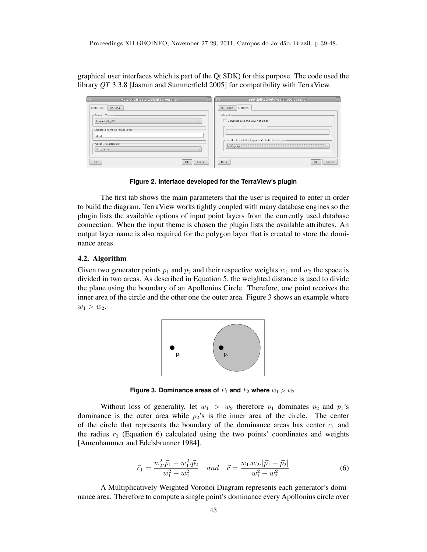graphical user interfaces which is part of the Qt SDK) for this purpose. The code used the library *QT* 3.3.8 [Jasmin and Summerfield 2005] for compatibility with TerraView.

| $\bigcirc$                              | $\overline{\mathbb{Z}}$                            |
|-----------------------------------------|----------------------------------------------------|
| $\boxed{\mathbb{Z}}$                    | Multiplicatively Weighted Voronoi                  |
| Multiplicatively Weighted Voronoi       | $\in$                                              |
| Input Data                              | Options                                            |
| Options                                 | Input Data                                         |
| -Select a Theme                         | -Result                                            |
| ConsultaUrg09<br>$\bullet$              | Generate also the Layer of Lines                   |
| -Choose a name to result Layer<br>teste | rchoose a name to Layer of Lines-                  |
| -Weighting attribute                    | -Use the box of this Layer to delimit the diagram- |
| qtd_aprese                              |                                                    |
| $\overline{\phantom{0}}$                | $\overline{\phantom{a}}$                           |
| Help                                    | Help                                               |
| Ok                                      | Ok                                                 |
| Cancel                                  | Cancel                                             |

**Figure 2. Interface developed for the TerraView's plugin**

The first tab shows the main parameters that the user is required to enter in order to build the diagram. TerraView works tightly coupled with many database engines so the plugin lists the available options of input point layers from the currently used database connection. When the input theme is chosen the plugin lists the available attributes. An output layer name is also required for the polygon layer that is created to store the dominance areas.

## 4.2. Algorithm

Given two generator points  $p_1$  and  $p_2$  and their respective weights  $w_1$  and  $w_2$  the space is divided in two areas. As described in Equation 5, the weighted distance is used to divide the plane using the boundary of an Apollonius Circle. Therefore, one point receives the inner area of the circle and the other one the outer area. Figure 3 shows an example where  $w_1 > w_2$ .



**Figure 3. Dominance areas of**  $P_1$  **and**  $P_2$  **where**  $w_1 > w_2$ 

Without loss of generality, let  $w_1 > w_2$  therefore  $p_1$  dominates  $p_2$  and  $p_1$ 's dominance is the outer area while  $p_2$ 's is the inner area of the circle. The center of the circle that represents the boundary of the dominance areas has center  $c_1$  and the radius  $r_1$  (Equation 6) calculated using the two points' coordinates and weights [Aurenhammer and Edelsbrunner 1984].

$$
\vec{c}_1 = \frac{w_2^2 \cdot \vec{p}_1 - w_1^2 \cdot \vec{p}_2}{w_1^2 - w_2^2} \quad and \quad \vec{r} = \frac{w_1 \cdot w_2 \cdot |\vec{p}_1 - \vec{p}_2|}{w_1^2 - w_2^2} \tag{6}
$$

A Multiplicatively Weighted Voronoi Diagram represents each generator's dominance area. Therefore to compute a single point's dominance every Apollonius circle over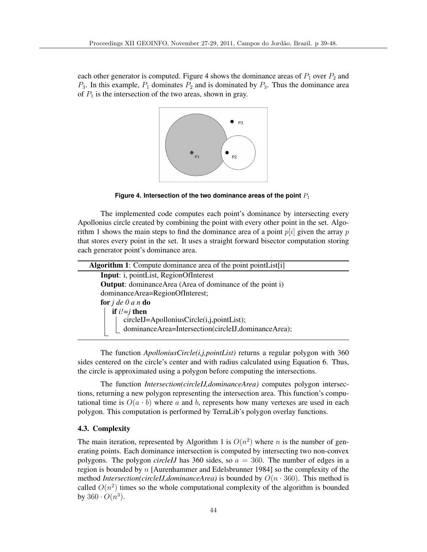each other generator is computed. Figure 4 shows the dominance areas of  $P_1$  over  $P_2$  and  $P_3$ . In this example,  $P_1$  dominates  $P_2$  and is dominated by  $P_3$ . Thus the dominance area of  $P_1$  is the intersection of the two areas, shown in gray.



Figure 4. Intersection of the two dominance areas of the point  $P_1$ 

The implemented code computes each point's dominance by intersecting every Apollonius circle created by combining the point with every other point in the set. Algorithm 1 shows the main steps to find the dominance area of a point  $p[i]$  given the array p that stores every point in the set. It uses a straight forward bisector computation storing each generator point's dominance area.

| <b>Algorithm 1:</b> Compute dominance area of the point point List[i] |  |
|-----------------------------------------------------------------------|--|
| <b>Input:</b> i, pointList, RegionOfInterest                          |  |
| <b>Output:</b> dominance Area (Area of dominance of the point i)      |  |
| dominanceArea=RegionOfInterest;                                       |  |
| for $j$ de $0$ a n do                                                 |  |
| if $i'=j$ then                                                        |  |
| circleIJ=ApolloniusCircle(i,j,pointList);                             |  |
| dominanceArea=Intersection(circleIJ,dominanceArea);                   |  |
|                                                                       |  |

The function *ApolloniusCircle(i,j,pointList)* returns a regular polygon with 360 sides centered on the circle's center and with radius calculated using Equation 6. Thus, the circle is approximated using a polygon before computing the intersections.

The function *Intersection(circleIJ,dominanceArea)* computes polygon intersections, returning a new polygon representing the intersection area. This function's computational time is  $O(a \cdot b)$  where a and b, represents how many vertexes are used in each polygon. This computation is performed by TerraLib's polygon overlay functions.

## 4.3. Complexity

The main iteration, represented by Algorithm 1 is  $O(n^2)$  where *n* is the number of generating points. Each dominance intersection is computed by intersecting two non-convex polygons. The polygon *circleIJ* has 360 sides, so a = 360. The number of edges in a region is bounded by n [Aurenhammer and Edelsbrunner 1984] so the complexity of the method *Intersection(circleIJ,dominanceArea)* is bounded by  $O(n \cdot 360)$ . This method is called  $O(n^2)$  times so the whole computational complexity of the algorithm is bounded by  $360 \cdot O(n^3)$ .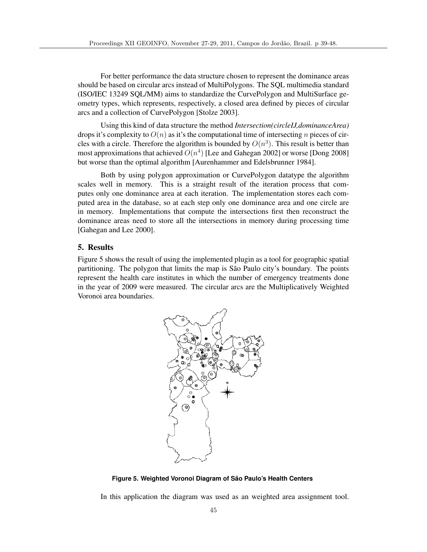For better performance the data structure chosen to represent the dominance areas should be based on circular arcs instead of MultiPolygons. The SQL multimedia standard (ISO/IEC 13249 SQL/MM) aims to standardize the CurvePolygon and MultiSurface geometry types, which represents, respectively, a closed area defined by pieces of circular arcs and a collection of CurvePolygon [Stolze 2003].

Using this kind of data structure the method *Intersection(circleIJ,dominanceArea)* drops it's complexity to  $O(n)$  as it's the computational time of intersecting n pieces of circles with a circle. Therefore the algorithm is bounded by  $O(n^3)$ . This result is better than most approximations that achieved  $O(n^4)$  [Lee and Gahegan 2002] or worse [Dong 2008] but worse than the optimal algorithm [Aurenhammer and Edelsbrunner 1984].

Both by using polygon approximation or CurvePolygon datatype the algorithm scales well in memory. This is a straight result of the iteration process that computes only one dominance area at each iteration. The implementation stores each computed area in the database, so at each step only one dominance area and one circle are in memory. Implementations that compute the intersections first then reconstruct the dominance areas need to store all the intersections in memory during processing time [Gahegan and Lee 2000].

#### 5. Results

Figure 5 shows the result of using the implemented plugin as a tool for geographic spatial partitioning. The polygon that limits the map is São Paulo city's boundary. The points represent the health care institutes in which the number of emergency treatments done in the year of 2009 were measured. The circular arcs are the Multiplicatively Weighted Voronoi area boundaries.



**Figure 5. Weighted Voronoi Diagram of São Paulo's Health Centers** 

In this application the diagram was used as an weighted area assignment tool.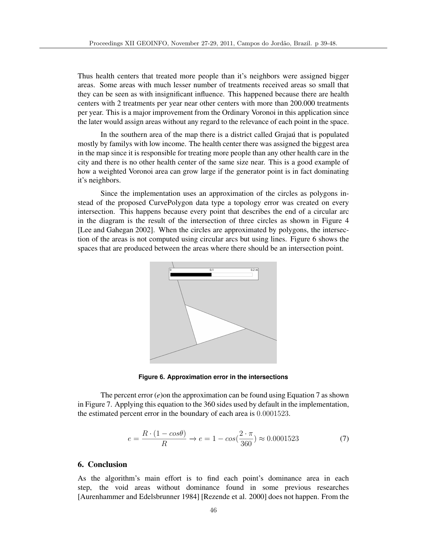Thus health centers that treated more people than it's neighbors were assigned bigger areas. Some areas with much lesser number of treatments received areas so small that they can be seen as with insignificant influence. This happened because there are health centers with 2 treatments per year near other centers with more than 200.000 treatments per year. This is a major improvement from the Ordinary Voronoi in this application since the later would assign areas without any regard to the relevance of each point in the space.

In the southern area of the map there is a district called Grajau that is populated mostly by familys with low income. The health center there was assigned the biggest area in the map since it is responsible for treating more people than any other health care in the city and there is no other health center of the same size near. This is a good example of how a weighted Voronoi area can grow large if the generator point is in fact dominating it's neighbors.

Since the implementation uses an approximation of the circles as polygons instead of the proposed CurvePolygon data type a topology error was created on every intersection. This happens because every point that describes the end of a circular arc in the diagram is the result of the intersection of three circles as shown in Figure 4 [Lee and Gahegan 2002]. When the circles are approximated by polygons, the intersection of the areas is not computed using circular arcs but using lines. Figure 6 shows the spaces that are produced between the areas where there should be an intersection point.



**Figure 6. Approximation error in the intersections**

The percent error (*e*)on the approximation can be found using Equation 7 as shown in Figure 7. Applying this equation to the 360 sides used by default in the implementation, the estimated percent error in the boundary of each area is 0.0001523.

$$
e = \frac{R \cdot (1 - \cos \theta)}{R} \to e = 1 - \cos(\frac{2 \cdot \pi}{360}) \approx 0.0001523
$$
 (7)

## 6. Conclusion

As the algorithm's main effort is to find each point's dominance area in each step, the void areas without dominance found in some previous researches [Aurenhammer and Edelsbrunner 1984] [Rezende et al. 2000] does not happen. From the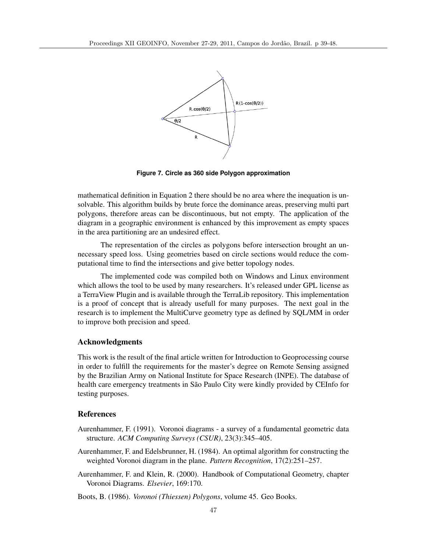

**Figure 7. Circle as 360 side Polygon approximation**

mathematical definition in Equation 2 there should be no area where the inequation is unsolvable. This algorithm builds by brute force the dominance areas, preserving multi part polygons, therefore areas can be discontinuous, but not empty. The application of the diagram in a geographic environment is enhanced by this improvement as empty spaces in the area partitioning are an undesired effect.

The representation of the circles as polygons before intersection brought an unnecessary speed loss. Using geometries based on circle sections would reduce the computational time to find the intersections and give better topology nodes.

The implemented code was compiled both on Windows and Linux environment which allows the tool to be used by many researchers. It's released under GPL license as a TerraView Plugin and is available through the TerraLib repository. This implementation is a proof of concept that is already usefull for many purposes. The next goal in the research is to implement the MultiCurve geometry type as defined by SQL/MM in order to improve both precision and speed.

## Acknowledgments

This work is the result of the final article written for Introduction to Geoprocessing course in order to fulfill the requirements for the master's degree on Remote Sensing assigned by the Brazilian Army on National Institute for Space Research (INPE). The database of health care emergency treatments in São Paulo City were kindly provided by CEInfo for testing purposes.

## References

- Aurenhammer, F. (1991). Voronoi diagrams a survey of a fundamental geometric data structure. *ACM Computing Surveys (CSUR)*, 23(3):345–405.
- Aurenhammer, F. and Edelsbrunner, H. (1984). An optimal algorithm for constructing the weighted Voronoi diagram in the plane. *Pattern Recognition*, 17(2):251–257.
- Aurenhammer, F. and Klein, R. (2000). Handbook of Computational Geometry, chapter Voronoi Diagrams. *Elsevier*, 169:170.
- Boots, B. (1986). *Voronoi (Thiessen) Polygons*, volume 45. Geo Books.